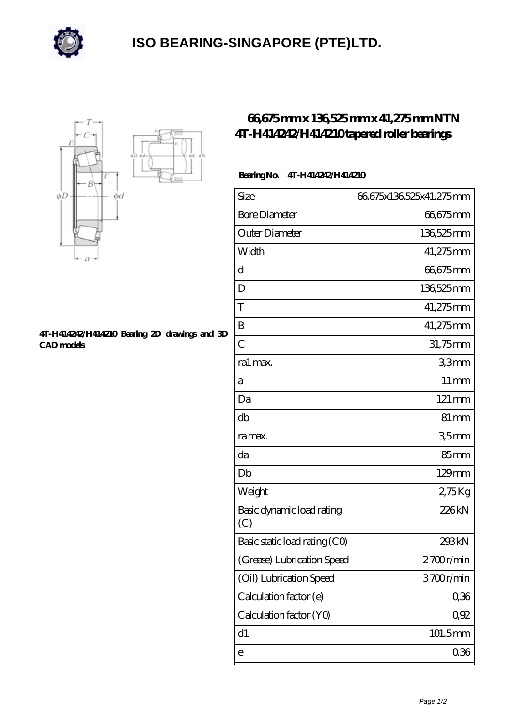

## **[ISO BEARING-SINGAPORE \(PTE\)LTD.](https://m.calvadosbnb.com)**



## **[4T-H414242/H414210 Bearing 2D drawings and 3D](https://m.calvadosbnb.com/pic-65129368.html) [CAD models](https://m.calvadosbnb.com/pic-65129368.html)**

## **[66,675 mm x 136,525 mm x 41,275 mm NTN](https://m.calvadosbnb.com/ntn-4t-h414242-h414210-bearing/) [4T-H414242/H414210 tapered roller bearings](https://m.calvadosbnb.com/ntn-4t-h414242-h414210-bearing/)**

## **Bearing No. 4T-H414242/H414210**

| Size                             | 66675x136525x41.275mm |
|----------------------------------|-----------------------|
| <b>Bore Diameter</b>             | 66675mm               |
| Outer Diameter                   | 136,525 mm            |
| Width                            | 41,275mm              |
| d                                | 66,675mm              |
| D                                | 136,525 mm            |
| T                                | 41,275mm              |
| B                                | 41,275mm              |
| $\overline{C}$                   | 31,75mm               |
| ra1 max.                         | 33mm                  |
| а                                | $11 \,\mathrm{mm}$    |
| Da                               | 121 mm                |
| db                               | $81 \,\mathrm{mm}$    |
| ra max.                          | 35mm                  |
| da                               | 85mm                  |
| Db                               | $129$ mm              |
| Weight                           | 275Kg                 |
| Basic dynamic load rating<br>(C) | 226kN                 |
| Basic static load rating (CO)    | 293kN                 |
| (Grease) Lubrication Speed       | 2700r/min             |
| (Oil) Lubrication Speed          | 3700r/min             |
| Calculation factor (e)           | 0,36                  |
| Calculation factor (YO)          | 0,92                  |
| d1                               | 101.5mm               |
| е                                | 036                   |